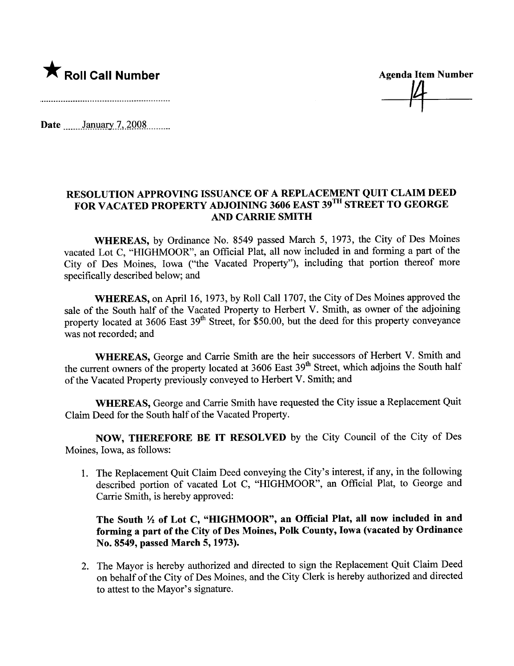

Date \_\_\_\_\_\_January 7, 2008

## RESOLUTION APPROVING ISSUANCE OF A REPLACEMENT QUIT CLAIM DEED FOR VACATED PROPERTY ADJOINING 3606 EAST 39TH STREET TO GEORGE AND CARRE SMITH

WHEREAS, by Ordinance No. 8549 passed March 5, 1973, the City of Des Moines vacated Lot C, "HIGHMOOR", an Official Plat, all now included in and forming a part of the City of Des Moines, Iowa ("the Vacated Property"), including that portion thereof more specifically described below; and

WHEREAS, on April 16, 1973, by Roll Call 1707, the City of Des Moines approved the sale of the South half of the Vacated Property to Herbert V. Smith, as owner of the adjoining property located at  $3606$  East  $39<sup>th</sup>$  Street, for \$50.00, but the deed for this property conveyance was not recorded; and

WHEREAS, George and Carrie Smith are the heir successors of Herbert V. Smith and the current owners of the property located at 3606 East 39<sup>th</sup> Street, which adjoins the South half of the Vacated Property previously conveyed to Herbert V. Smith; and

WHEREAS, George and Carrie Smith have requested the City issue a Replacement Quit Claim Deed for the South half of the Vacated Property.

NOW, THEREFORE BE IT RESOLVED by the City Council of the City of Des Moines, Iowa, as follows:

1. The Replacement Quit Claim Deed conveying the City's interest, if any, in the following described portion of vacated Lot C, "HIGHMOOR", an Official Plat, to George and Carrie Smith, is hereby approved:

## The South  $\frac{1}{2}$  of Lot C, "HIGHMOOR", an Official Plat, all now included in and forming a part of the City of Des Moines, Polk County, Iowa (vacated by Ordinance No. 8549, passed March 5, 1973).

2. The Mayor is hereby authorized and directed to sign the Replacement Quit Claim Deed on behalf of the City of Des Moines, and the City Clerk is hereby authorized and directed to attest to the Mayor's signature.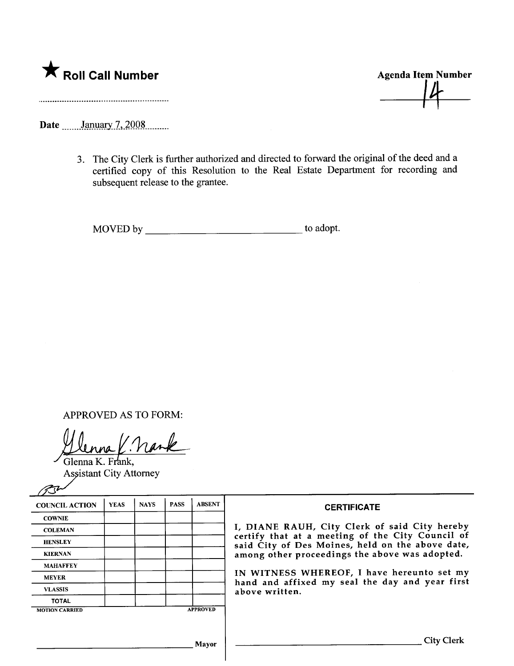

**Agenda Item Number** 

Date January 7, 2008

3. The City Clerk is further authorized and directed to forward the original of the deed and a certified copy of this Resolution to the Real Estate Department for recording and subsequent release to the grantee.

APPROVED AS TO FORM:

Glenna K. Frank. **Assistant City Attorney** 

 $\mathscr{P}$ 

| <b>COUNCIL ACTION</b> | <b>YEAS</b> | <b>NAYS</b> | <b>PASS</b> | <b>ABSENT</b>   | <b>CERTIFICATE</b>                                                                                                                                                                                                                                                                                                         |
|-----------------------|-------------|-------------|-------------|-----------------|----------------------------------------------------------------------------------------------------------------------------------------------------------------------------------------------------------------------------------------------------------------------------------------------------------------------------|
| <b>COWNIE</b>         |             |             |             |                 |                                                                                                                                                                                                                                                                                                                            |
| <b>COLEMAN</b>        |             |             |             |                 | I, DIANE RAUH, City Clerk of said City hereby<br>certify that at a meeting of the City Council of<br>said City of Des Moines, held on the above date,<br>among other proceedings the above was adopted.<br>IN WITNESS WHEREOF, I have hereunto set my<br>hand and affixed my seal the day and year first<br>above written. |
| <b>HENSLEY</b>        |             |             |             |                 |                                                                                                                                                                                                                                                                                                                            |
| <b>KIERNAN</b>        |             |             |             |                 |                                                                                                                                                                                                                                                                                                                            |
| <b>MAHAFFEY</b>       |             |             |             |                 |                                                                                                                                                                                                                                                                                                                            |
| <b>MEYER</b>          |             |             |             |                 |                                                                                                                                                                                                                                                                                                                            |
| <b>VLASSIS</b>        |             |             |             |                 |                                                                                                                                                                                                                                                                                                                            |
| <b>TOTAL</b>          |             |             |             |                 |                                                                                                                                                                                                                                                                                                                            |
| <b>MOTION CARRIED</b> |             |             |             | <b>APPROVED</b> |                                                                                                                                                                                                                                                                                                                            |
|                       |             |             |             |                 |                                                                                                                                                                                                                                                                                                                            |
| Mavor                 |             |             |             |                 | <b>City Clerk</b>                                                                                                                                                                                                                                                                                                          |